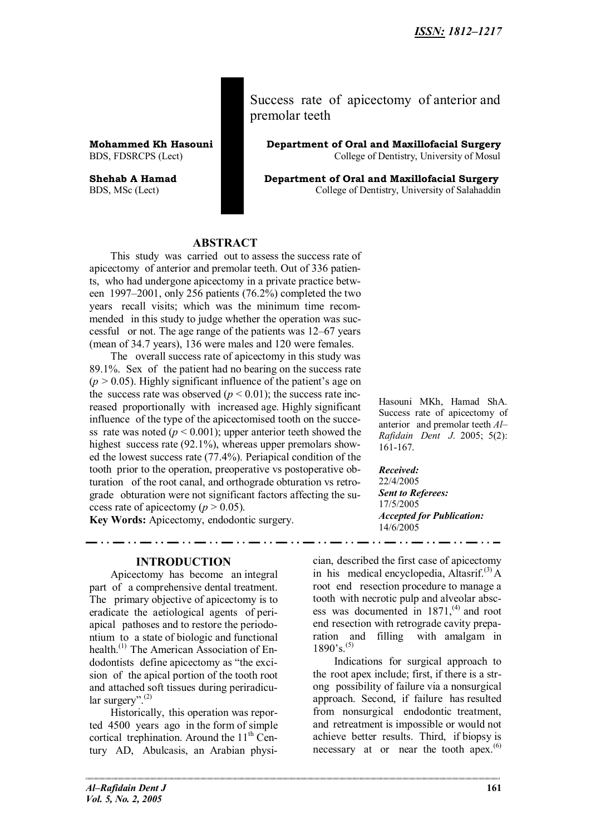Success rate of apicectomy of anterior and premolar teeth

**Mohammed Kh Hasouni Department of Oral and Maxillofacial Surgery** BDS, FDSRCPS (Lect) **College of Dentistry, University of Mosul** 

**Shehab A Hamad Department of Oral and Maxillofacial Surgery** BDS, MSc (Lect) College of Dentistry, University of Salahaddin

## **ABSTRACT**

This study was carried out to assess the success rate of apicectomy of anterior and premolar teeth. Out of 336 patients, who had undergone apicectomy in a private practice between 1997–2001, only 256 patients (76.2%) completed the two years recall visits; which was the minimum time recommended in this study to judge whether the operation was successful or not. The age range of the patients was 12–67 years (mean of 34.7 years), 136 were males and 120 were females.

The overall success rate of apicectomy in this study was 89.1%. Sex of the patient had no bearing on the success rate  $(p > 0.05)$ . Highly significant influence of the patient's age on the success rate was observed  $(p < 0.01)$ ; the success rate increased proportionally with increased age. Highly significant influence of the type of the apicectomised tooth on the success rate was noted  $(p < 0.001)$ ; upper anterior teeth showed the highest success rate (92.1%), whereas upper premolars showed the lowest success rate (77.4%). Periapical condition of the tooth prior to the operation, preoperative vs postoperative obturation of the root canal, and orthograde obturation vs retrograde obturation were not significant factors affecting the success rate of apicectomy ( $p > 0.05$ ).

**Key Words:** Apicectomy, endodontic surgery.

**INTRODUCTION**

Apicectomy has become an integral part of a comprehensive dental treatment. The primary objective of apicectomy is to eradicate the aetiological agents of periapical pathoses and to restore the periodontium to a state of biologic and functional health.<sup>(1)</sup> The American Association of Endodontists define apicectomy as "the excision of the apical portion of the tooth root and attached soft tissues during periradicular surgery". $^{(2)}$ 

Historically, this operation was reported 4500 years ago in the form of simple cortical trephination. Around the  $11<sup>th</sup>$  Century AD, Abulcasis, an Arabian physi-

Hasouni MKh, Hamad ShA. Success rate of apicectomy of anterior and premolar teeth *Al– Rafidain Dent J*. 2005; 5(2): 161-167.

*Received:* 22/4/2005 *Sent to Referees:* 17/5/2005 *Accepted for Publication:* 14/6/2005

cian, described the first case of apicectomy in his medical encyclopedia, Altasrif.<sup>(3)</sup> A root end resection procedure to manage a tooth with necrotic pulp and alveolar abscess was documented in  $1871<sup>(4)</sup>$  and root end resection with retrograde cavity preparation and filling with amalgam in  $1890's.<sup>(5)</sup>$ 

Indications for surgical approach to the root apex include; first, if there is a strong possibility of failure via a nonsurgical approach. Second, if failure has resulted from nonsurgical endodontic treatment, and retreatment is impossible or would not achieve better results. Third, if biopsy is necessary at or near the tooth apex. $(6)$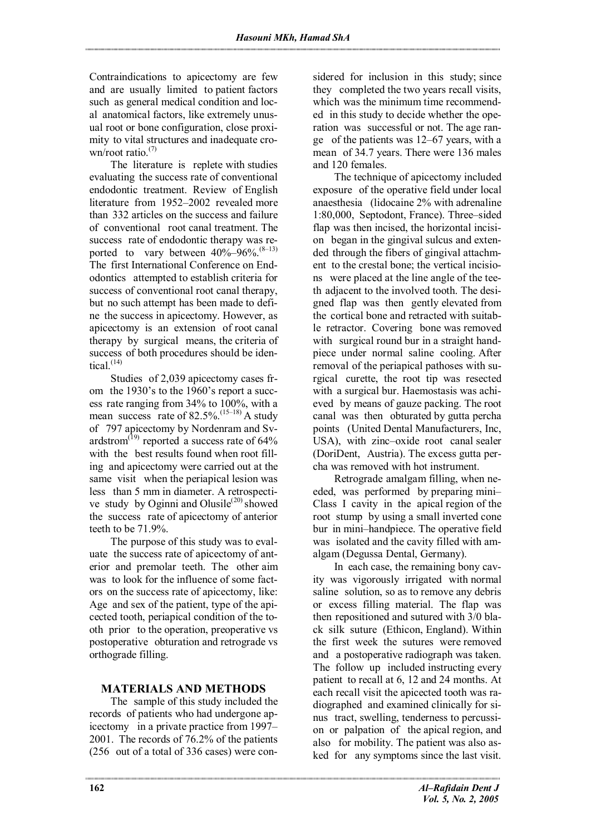Contraindications to apicectomy are few and are usually limited to patient factors such as general medical condition and local anatomical factors, like extremely unusual root or bone configuration, close proximity to vital structures and inadequate crown/root ratio. $(7)$ 

The literature is replete with studies evaluating the success rate of conventional endodontic treatment. Review of English literature from 1952–2002 revealed more than 332 articles on the success and failure of conventional root canal treatment. The success rate of endodontic therapy was reported to vary between  $40\%$ –96%.<sup>(8–13)</sup> The first International Conference on Endodontics attempted to establish criteria for success of conventional root canal therapy, but no such attempt has been made to define the success in apicectomy. However, as apicectomy is an extension of root canal therapy by surgical means, the criteria of success of both procedures should be identical $(14)$ 

Studies of 2,039 apicectomy cases from the 1930's to the 1960's report a success rate ranging from 34% to 100%, with a mean success rate of  $82.5\%$ .<sup>(15–18)</sup> A study of 797 apicectomy by Nordenram and Svardstrom<sup>(19)</sup> reported a success rate of  $64\%$ with the best results found when root filling and apicectomy were carried out at the same visit when the periapical lesion was less than 5 mm in diameter. A retrospective study by Oginni and Olusile<sup>(20)</sup> showed the success rate of apicectomy of anterior teeth to be 71.9%.

The purpose of this study was to evaluate the success rate of apicectomy of anterior and premolar teeth. The other aim was to look for the influence of some factors on the success rate of apicectomy, like: Age and sex of the patient, type of the apicected tooth, periapical condition of the tooth prior to the operation, preoperative vs postoperative obturation and retrograde vs orthograde filling.

## **MATERIALS AND METHODS**

The sample of this study included the records of patients who had undergone apicectomy in a private practice from 1997– 2001. The records of 76.2% of the patients (256 out of a total of 336 cases) were considered for inclusion in this study; since they completed the two years recall visits, which was the minimum time recommended in this study to decide whether the operation was successful or not. The age range of the patients was 12–67 years, with a mean of 34.7 years. There were 136 males and 120 females.

The technique of apicectomy included exposure of the operative field under local anaesthesia (lidocaine 2% with adrenaline 1:80,000, Septodont, France). Three–sided flap was then incised, the horizontal incision began in the gingival sulcus and extended through the fibers of gingival attachment to the crestal bone; the vertical incisions were placed at the line angle of the teeth adjacent to the involved tooth. The designed flap was then gently elevated from the cortical bone and retracted with suitable retractor. Covering bone was removed with surgical round bur in a straight handpiece under normal saline cooling. After removal of the periapical pathoses with surgical curette, the root tip was resected with a surgical bur. Haemostasis was achieved by means of gauze packing. The root canal was then obturated by gutta percha points (United Dental Manufacturers, Inc, USA), with zinc–oxide root canal sealer (DoriDent, Austria). The excess gutta percha was removed with hot instrument.

Retrograde amalgam filling, when needed, was performed by preparing mini– Class I cavity in the apical region of the root stump by using a small inverted cone bur in mini–handpiece. The operative field was isolated and the cavity filled with amalgam (Degussa Dental, Germany).

In each case, the remaining bony cavity was vigorously irrigated with normal saline solution, so as to remove any debris or excess filling material. The flap was then repositioned and sutured with 3/0 black silk suture (Ethicon, England). Within the first week the sutures were removed and a postoperative radiograph was taken. The follow up included instructing every patient to recall at 6, 12 and 24 months. At each recall visit the apicected tooth was radiographed and examined clinically for sinus tract, swelling, tenderness to percussion or palpation of the apical region, and also for mobility. The patient was also asked for any symptoms since the last visit.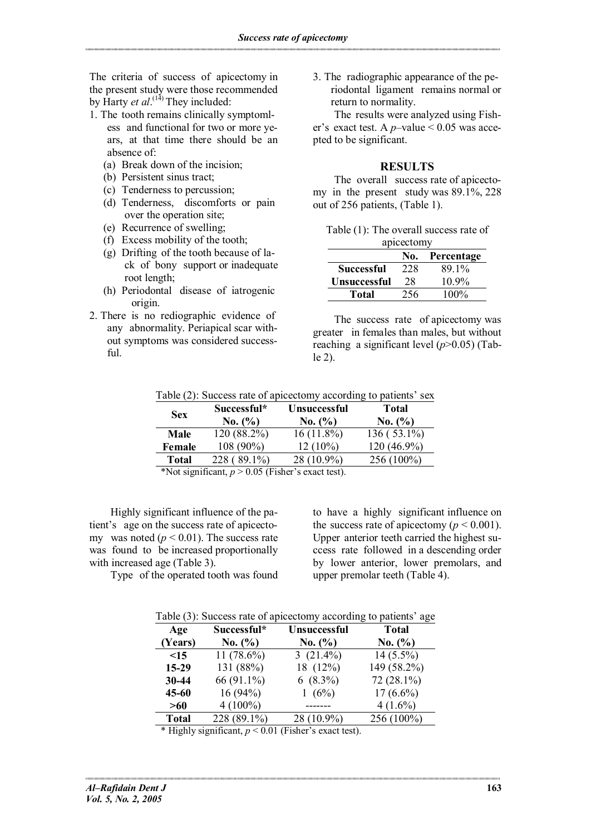The criteria of success of apicectomy in the present study were those recommended by Harty *et al*.<sup>(14)</sup> They included:

- 1. The tooth remains clinically symptomless and functional for two or more years, at that time there should be an absence of:
	- (a) Break down of the incision;
	- (b) Persistent sinus tract;
	- (c) Tenderness to percussion;
	- (d) Tenderness, discomforts or pain over the operation site;
	- (e) Recurrence of swelling;
	- (f) Excess mobility of the tooth;
	- (g) Drifting of the tooth because of lack of bony support or inadequate root length;
	- (h) Periodontal disease of iatrogenic origin.
- 2. There is no rediographic evidence of any abnormality. Periapical scar without symptoms was considered successful.

3. The radiographic appearance of the periodontal ligament remains normal or return to normality.

The results were analyzed using Fisher's exact test. A *p*–value < 0.05 was accepted to be significant.

### **RESULTS**

The overall success rate of apicectomy in the present study was 89.1%, 228 out of 256 patients, (Table 1).

| Table (1): The overall success rate of |  |
|----------------------------------------|--|
| apicectomy                             |  |

|                     | No. | Percentage |
|---------------------|-----|------------|
| <b>Successful</b>   | 228 | 89 1%      |
| <b>Unsuccessful</b> | 28  | $10.9\%$   |
| Total               | 256 | $100\%$    |

The success rate of apicectomy was greater in females than males, but without reaching a significant level (*p*>0.05) (Table 2).

| Table (2): Success rate of apicectomy according to patients' sex |  |  |
|------------------------------------------------------------------|--|--|
|------------------------------------------------------------------|--|--|

| <b>Sex</b>                                     | Successful*<br>No. (%) | <b>Unsuccessful</b><br>No. (%) | <b>Total</b><br>No. (%) |
|------------------------------------------------|------------------------|--------------------------------|-------------------------|
| Male                                           | 120 (88.2%)            | $16(11.8\%)$                   | $136(53.1\%)$           |
| Female                                         | $108(90\%)$            | $12(10\%)$                     | $120(46.9\%)$           |
| <b>Total</b>                                   | $228(89.1\%)$          | 28 (10.9%)                     | 256 (100%)              |
| $\mathbf{1} \cdot \mathbf{1} \cdot \mathbf{1}$ |                        |                                |                         |

\*Not significant,  $p > 0.05$  (Fisher's exact test).

Highly significant influence of the patient's age on the success rate of apicectomy was noted  $(p < 0.01)$ . The success rate was found to be increased proportionally with increased age (Table 3).

Type of the operated tooth was found

to have a highly significant influence on the success rate of apicectomy ( $p < 0.001$ ). Upper anterior teeth carried the highest success rate followed in a descending order by lower anterior, lower premolars, and upper premolar teeth (Table 4).

Table (3): Success rate of apicectomy according to patients' age

| Age<br>(Years)                                     | Successful*<br>No. (%) | Unsuccessful<br>No. (%)                                                                                         | <b>Total</b><br>No. (%) |
|----------------------------------------------------|------------------------|-----------------------------------------------------------------------------------------------------------------|-------------------------|
| $<$ 15                                             | 11 $(78.6\%)$          | 3 $(21.4\%)$                                                                                                    | $14(5.5\%)$             |
| $15-29$                                            | 131 (88%)              | 18 (12%)                                                                                                        | 149 (58.2%)             |
| 30-44                                              | 66 (91.1%)             | $6(8.3\%)$                                                                                                      | $72(28.1\%)$            |
| $45 - 60$                                          | 16(94%)                | 1 $(6%)$                                                                                                        | $17(6.6\%)$             |
| >60                                                | $4(100\%)$             |                                                                                                                 | $4(1.6\%)$              |
| <b>Total</b>                                       | 228 (89.1%)            | 28 (10.9%)                                                                                                      | 256 (100%)              |
| $\mathbf{a}$ . The second contract of $\mathbf{a}$ |                        | the contract of the contract of the contract of the contract of the contract of the contract of the contract of |                         |

\* Highly significant, *p* < 0.01 (Fisher's exact test).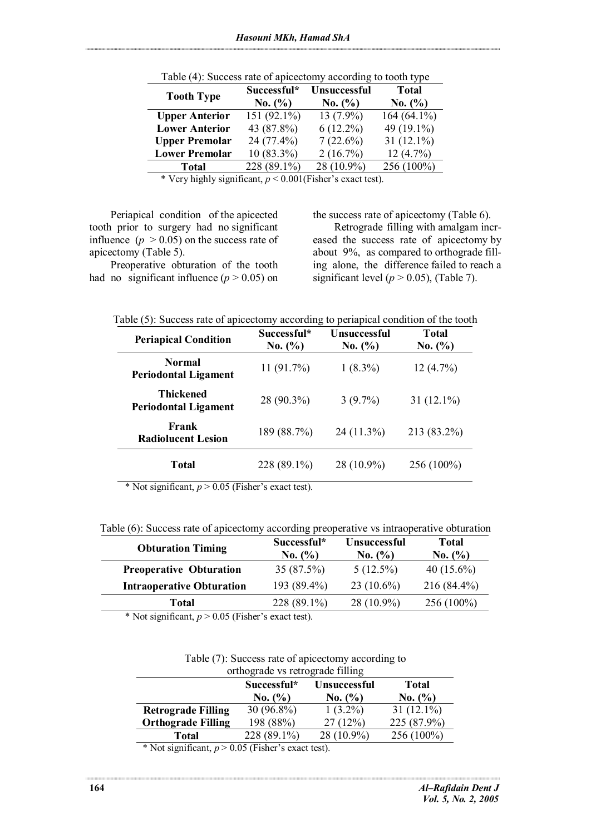| <b>Tooth Type</b>     | Successful*  | <b>Unsuccessful</b> | <b>Total</b>  |  |
|-----------------------|--------------|---------------------|---------------|--|
|                       | No. (%)      | No. (%)             | No. (%)       |  |
| <b>Upper Anterior</b> | 151 (92.1%)  | $13(7.9\%)$         | $164(64.1\%)$ |  |
| <b>Lower Anterior</b> | 43 (87.8%)   | $6(12.2\%)$         | 49 (19.1%)    |  |
| <b>Upper Premolar</b> | 24 (77.4%)   | $7(22.6\%)$         | 31 $(12.1\%)$ |  |
| <b>Lower Premolar</b> | $10(83.3\%)$ | 2(16.7%)            | 12(4.7%)      |  |
| Total                 | 228 (89.1%)  | 28 (10.9%)          | 256 (100%)    |  |

Table (4): Success rate of apicectomy according to tooth type

\* Very highly significant, *p* < 0.001(Fisher's exact test).

Periapical condition of the apicected tooth prior to surgery had no significant influence  $(p > 0.05)$  on the success rate of apicectomy (Table 5).

Preoperative obturation of the tooth had no significant influence  $(p > 0.05)$  on the success rate of apicectomy (Table 6). Retrograde filling with amalgam increased the success rate of apicectomy by about 9%, as compared to orthograde filling alone, the difference failed to reach a significant level ( $p > 0.05$ ), (Table 7).

Table (5): Success rate of apicectomy according to periapical condition of the tooth

| <b>Periapical Condition</b>                     | Successful*<br>No. (%) | Unsuccessful<br>No. (%) | <b>Total</b><br>No. (%) |
|-------------------------------------------------|------------------------|-------------------------|-------------------------|
| <b>Normal</b><br><b>Periodontal Ligament</b>    | 11(91.7%)              | $1(8.3\%)$              | $12(4.7\%)$             |
| <b>Thickened</b><br><b>Periodontal Ligament</b> | 28 (90.3%)             | $3(9.7\%)$              | $31(12.1\%)$            |
| Frank<br><b>Radiolucent Lesion</b>              | 189 (88.7%)            | $24(11.3\%)$            | 213 (83.2%)             |
| <b>Total</b>                                    | 228 (89.1%)            | 28 (10.9%)              | 256 (100%)              |

\* Not significant,  $p > 0.05$  (Fisher's exact test).

Table (6): Success rate of apicectomy according preoperative vs intraoperative obturation

| <b>Obturation Timing</b>                                                                                   | Successful*<br>No. (%) | <b>Unsuccessful</b><br>No. (%) | <b>Total</b><br>No. (%) |
|------------------------------------------------------------------------------------------------------------|------------------------|--------------------------------|-------------------------|
| <b>Preoperative Obturation</b>                                                                             | 35(87.5%)              | $5(12.5\%)$                    | 40 $(15.6\%)$           |
| <b>Intraoperative Obturation</b>                                                                           | 193 (89.4%)            | $23(10.6\%)$                   | $216(84.4\%)$           |
| <b>Total</b>                                                                                               | 228 (89.1%)            | $28(10.9\%)$                   | $256(100\%)$            |
| $\sim$ $\sim$ $\sim$ $\sim$ $\sim$ $\sim$ $\sim$ $\sim$<br>$\cdot$ $\sim$<br>$\mathbf{u}$ and $\mathbf{v}$ | $\cdots$               |                                |                         |

\* Not significant,  $p > 0.05$  (Fisher's exact test).

|  |  | Table (7): Success rate of apicectomy according to |
|--|--|----------------------------------------------------|
|  |  |                                                    |

| orthograde vs retrograde filling                                                    |             |            |              |  |
|-------------------------------------------------------------------------------------|-------------|------------|--------------|--|
| Successful*<br><b>Total</b><br><b>Unsuccessful</b><br>No. (%)<br>No. (%)<br>No. (%) |             |            |              |  |
|                                                                                     |             |            |              |  |
| <b>Retrograde Filling</b>                                                           | 30 (96.8%)  | $1(3.2\%)$ | $31(12.1\%)$ |  |
| <b>Orthograde Filling</b>                                                           | 198 (88%)   | 27(12%)    | 225 (87.9%)  |  |
| Total                                                                               | 228 (89.1%) | 28 (10.9%) | 256 (100%)   |  |
| $\cdots$<br>$\sim$ $\sim$ $\sim$ $\sim$ $\sim$ $\sim$ $\sim$ $\sim$<br>$\sim$       |             |            |              |  |

\* Not significant,  $p > 0.05$  (Fisher's exact test).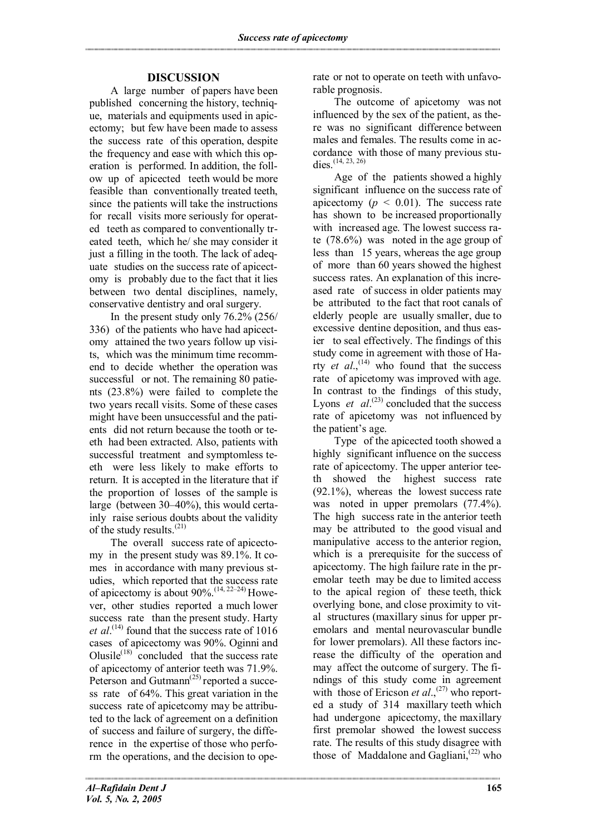# **DISCUSSION**

A large number of papers have been published concerning the history, technique, materials and equipments used in apicectomy; but few have been made to assess the success rate of this operation, despite the frequency and ease with which this operation is performed. In addition, the follow up of apicected teeth would be more feasible than conventionally treated teeth, since the patients will take the instructions for recall visits more seriously for operated teeth as compared to conventionally treated teeth, which he/ she may consider it just a filling in the tooth. The lack of adequate studies on the success rate of apicectomy is probably due to the fact that it lies between two dental disciplines, namely, conservative dentistry and oral surgery.

In the present study only 76.2% (256/ 336) of the patients who have had apicectomy attained the two years follow up visits, which was the minimum time recommend to decide whether the operation was successful or not. The remaining 80 patients (23.8%) were failed to complete the two years recall visits. Some of these cases might have been unsuccessful and the patients did not return because the tooth or teeth had been extracted. Also, patients with successful treatment and symptomless teeth were less likely to make efforts to return. It is accepted in the literature that if the proportion of losses of the sample is large (between 30–40%), this would certainly raise serious doubts about the validity of the study results. $(21)$ 

The overall success rate of apicectomy in the present study was 89.1%. It comes in accordance with many previous studies, which reported that the success rate of apicectomy is about 90%.<sup> $(14, 22-24)$ </sup> However, other studies reported a much lower success rate than the present study. Harty *et al*. (14) found that the success rate of 1016 cases of apicectomy was 90%. Oginni and Olusile $^{(18)}$  concluded that the success rate of apicectomy of anterior teeth was 71.9%. Peterson and Gutmann<sup> $(25)$ </sup> reported a success rate of 64%. This great variation in the success rate of apicetcomy may be attributed to the lack of agreement on a definition of success and failure of surgery, the difference in the expertise of those who perform the operations, and the decision to operate or not to operate on teeth with unfavorable prognosis.

The outcome of apicetomy was not influenced by the sex of the patient, as there was no significant difference between males and females. The results come in accordance with those of many previous studies.  $(14, 23, 26)$ 

Age of the patients showed a highly significant influence on the success rate of apicectomy  $(p < 0.01)$ . The success rate has shown to be increased proportionally with increased age. The lowest success rate (78.6%) was noted in the age group of less than 15 years, whereas the age group of more than 60 years showed the highest success rates. An explanation of this increased rate of success in older patients may be attributed to the fact that root canals of elderly people are usually smaller, due to excessive dentine deposition, and thus easier to seal effectively. The findings of this study come in agreement with those of Harty *et al.*,<sup>(14)</sup> who found that the success rate of apicetomy was improved with age. In contrast to the findings of this study, Lyons *et*  $al^{(23)}$  concluded that the success rate of apicetomy was not influenced by the patient's age.

Type of the apicected tooth showed a highly significant influence on the success rate of apicectomy. The upper anterior teeth showed the highest success rate (92.1%), whereas the lowest success rate was noted in upper premolars  $(77.4\%)$ . The high success rate in the anterior teeth may be attributed to the good visual and manipulative access to the anterior region, which is a prerequisite for the success of apicectomy. The high failure rate in the premolar teeth may be due to limited access to the apical region of these teeth, thick overlying bone, and close proximity to vital structures (maxillary sinus for upper premolars and mental neurovascular bundle for lower premolars). All these factors increase the difficulty of the operation and may affect the outcome of surgery. The findings of this study come in agreement with those of Ericson *et al.*,<sup>(27)</sup> who reported a study of 314 maxillary teeth which had undergone apicectomy, the maxillary first premolar showed the lowest success rate. The results of this study disagree with those of Maddalone and Gagliani, $^{(22)}$  who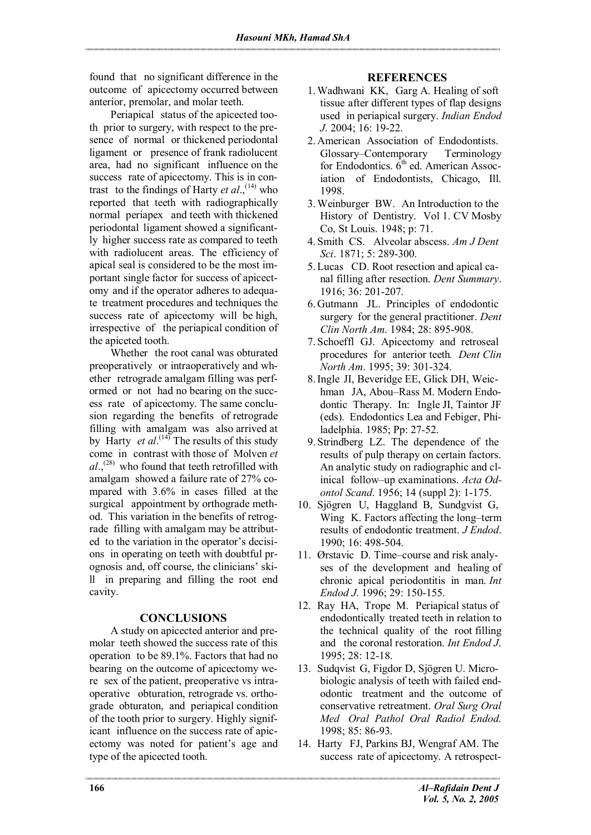found that no significant difference in the outcome of apicectomy occurred between anterior, premolar, and molar teeth.

Periapical status of the apicected tooth prior to surgery, with respect to the presence of normal or thickened periodontal ligament or presence of frank radiolucent area, had no significant influence on the success rate of apicectomy. This is in contrast to the findings of Harty *et al.*,  $^{(14)}$  who reported that teeth with radiographically normal periapex and teeth with thickened periodontal ligament showed a significantly higher success rate as compared to teeth with radiolucent areas. The efficiency of apical seal is considered to be the most important single factor for success of apicectomy and if the operator adheres to adequate treatment procedures and techniques the success rate of apicectomy will be high, irrespective of the periapical condition of the apiceted tooth.

Whether the root canal was obturated preoperatively or intraoperatively and whether retrograde amalgam filling was performed or not had no bearing on the success rate of apicectomy. The same conclusion regarding the benefits of retrograde filling with amalgam was also arrived at by Harty *et al*. (14) The results of this study come in contrast with those of Molven *et al*., (28) who found that teeth retrofilled with amalgam showed a failure rate of 27% compared with 3.6% in cases filled at the surgical appointment by orthograde method. This variation in the benefits of retrograde filling with amalgam may be attributed to the variation in the operator's decisions in operating on teeth with doubtful prognosis and, off course, the clinicians' skill in preparing and filling the root end cavity.

### **CONCLUSIONS**

A study on apicected anterior and premolar teeth showed the success rate of this operation to be 89.1%. Factors that had no bearing on the outcome of apicectomy were sex of the patient, preoperative vs intraoperative obturation, retrograde vs. orthograde obturaton, and periapical condition of the tooth prior to surgery. Highly significant influence on the success rate of apicectomy was noted for patient's age and type of the apicected tooth.

## **REFERENCES**

- 1.Wadhwani KK, Garg A. Healing of soft tissue after different types of flap designs used in periapical surgery. *Indian Endod J*. 2004; 16: 19-22.
- 2.American Association of Endodontists. Glossary–Contemporary Terminology for Endodontics.  $\hat{6}^{th}$  ed. American Association of Endodontists, Chicago, Ill. 1998.
- 3.Weinburger BW. An Introduction to the History of Dentistry. Vol 1. CV Mosby Co, St Louis. 1948; p: 71.
- 4. Smith CS. Alveolar abscess. *Am J Dent Sci*. 1871; 5: 289-300.
- 5.Lucas CD. Root resection and apical canal filling after resection. *Dent Summary*. 1916; 36: 201-207.
- 6.Gutmann JL. Principles of endodontic surgery for the general practitioner. *Dent Clin North Am*. 1984; 28: 895-908.
- 7. Schoeffl GJ. Apicectomy and retroseal procedures for anterior teeth*. Dent Clin North Am*. 1995; 39: 301-324.
- 8.Ingle JI, Beveridge EE, Glick DH, Weichman JA, Abou–Rass M. Modern Endodontic Therapy. In: Ingle JI, Taintor JF (eds). Endodontics Lea and Febiger, Philadelphia. 1985; Pp: 27-52.
- 9. Strindberg LZ. The dependence of the results of pulp therapy on certain factors. An analytic study on radiographic and clinical follow–up examinations. *Acta Odontol Scand*. 1956; 14 (suppl 2): 1-175.
- 10. Sjögren U, Haggland B, Sundgvist G, Wing K. Factors affecting the long–term results of endodontic treatment. *J Endod*. 1990; 16: 498-504.
- 11. Ørstavic D. Time–course and risk analyses of the development and healing of chronic apical periodontitis in man. *Int Endod J*. 1996; 29: 150-155.
- 12. Ray HA, Trope M. Periapical status of endodontically treated teeth in relation to the technical quality of the root filling and the coronal restoration. *Int Endod J*. 1995; 28: 12-18.
- 13. Sudqvist G, Figdor D, Sjögren U. Microbiologic analysis of teeth with failed endodontic treatment and the outcome of conservative retreatment. *Oral Surg Oral Med Oral Pathol Oral Radiol Endod*. 1998; 85: 86-93.
- 14. Harty FJ, Parkins BJ, Wengraf AM. The success rate of apicectomy. A retrospect-